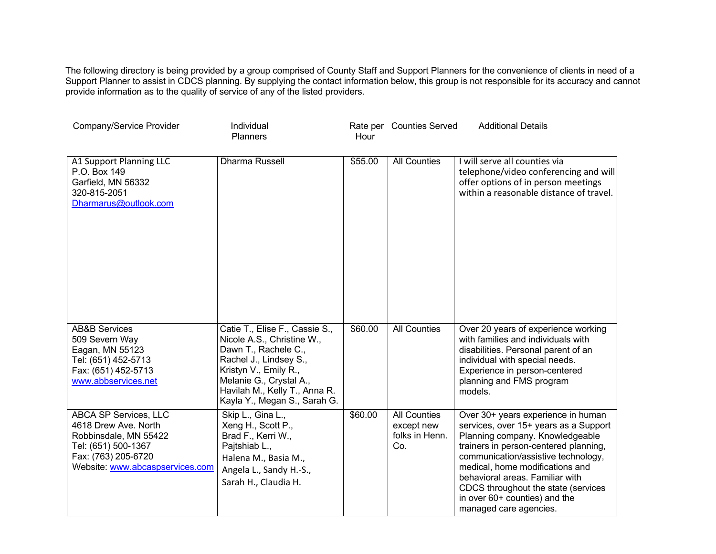The following directory is being provided by a group comprised of County Staff and Support Planners for the convenience of clients in need of a Support Planner to assist in CDCS planning. By supplying the contact information below, this group is not responsible for its accuracy and cannot provide information as to the quality of service of any of the listed providers.

| Company/Service Provider                                                                                                                                | Individual<br>Planners                                                                                                                                                                                                              | Hour    | Rate per Counties Served                                   | <b>Additional Details</b>                                                                                                                                                                                                                                                                                                                                              |
|---------------------------------------------------------------------------------------------------------------------------------------------------------|-------------------------------------------------------------------------------------------------------------------------------------------------------------------------------------------------------------------------------------|---------|------------------------------------------------------------|------------------------------------------------------------------------------------------------------------------------------------------------------------------------------------------------------------------------------------------------------------------------------------------------------------------------------------------------------------------------|
| A1 Support Planning LLC<br>P.O. Box 149<br>Garfield, MN 56332<br>320-815-2051<br>Dharmarus@outlook.com                                                  | Dharma Russell                                                                                                                                                                                                                      | \$55.00 | <b>All Counties</b>                                        | I will serve all counties via<br>telephone/video conferencing and will<br>offer options of in person meetings<br>within a reasonable distance of travel.                                                                                                                                                                                                               |
| <b>AB&amp;B Services</b><br>509 Severn Way<br>Eagan, MN 55123<br>Tel: (651) 452-5713<br>Fax: (651) 452-5713<br>www.abbservices.net                      | Catie T., Elise F., Cassie S.,<br>Nicole A.S., Christine W.,<br>Dawn T., Rachele C.,<br>Rachel J., Lindsey S.,<br>Kristyn V., Emily R.,<br>Melanie G., Crystal A.,<br>Havilah M., Kelly T., Anna R.<br>Kayla Y., Megan S., Sarah G. | \$60.00 | <b>All Counties</b>                                        | Over 20 years of experience working<br>with families and individuals with<br>disabilities. Personal parent of an<br>individual with special needs.<br>Experience in person-centered<br>planning and FMS program<br>models.                                                                                                                                             |
| ABCA SP Services, LLC<br>4618 Drew Ave. North<br>Robbinsdale, MN 55422<br>Tel: (651) 500-1367<br>Fax: (763) 205-6720<br>Website: www.abcaspservices.com | Skip L., Gina L.,<br>Xeng H., Scott P.,<br>Brad F., Kerri W.,<br>Pajtshiab L.,<br>Halena M., Basia M.,<br>Angela L., Sandy H.-S.,<br>Sarah H., Claudia H.                                                                           | \$60.00 | <b>All Counties</b><br>except new<br>folks in Henn.<br>Co. | Over 30+ years experience in human<br>services, over 15+ years as a Support<br>Planning company. Knowledgeable<br>trainers in person-centered planning,<br>communication/assistive technology,<br>medical, home modifications and<br>behavioral areas. Familiar with<br>CDCS throughout the state (services<br>in over 60+ counties) and the<br>managed care agencies. |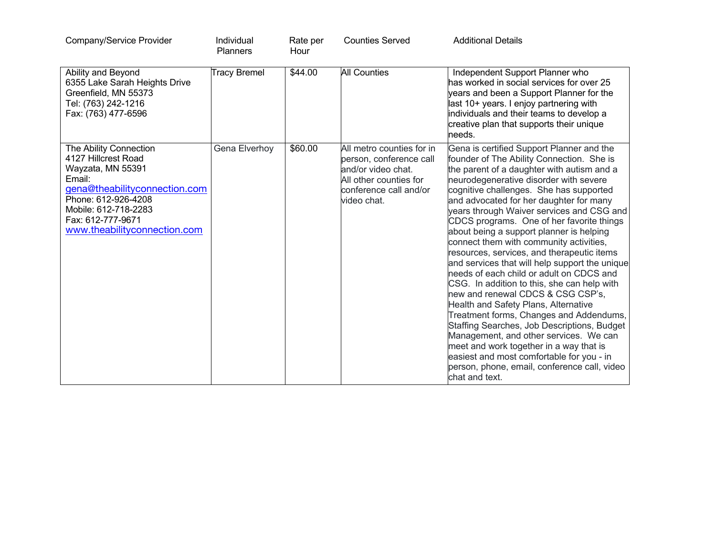| Company/Service Provider                                                                                                                                                                                          | Individual<br>Planners | Rate per<br>Hour | <b>Counties Served</b>                                                                                                                        | <b>Additional Details</b>                                                                                                                                                                                                                                                                                                                                                                                                                                                                                                                                                                                                                                                                                                                                                                                                                                                                                                                                                                                                   |
|-------------------------------------------------------------------------------------------------------------------------------------------------------------------------------------------------------------------|------------------------|------------------|-----------------------------------------------------------------------------------------------------------------------------------------------|-----------------------------------------------------------------------------------------------------------------------------------------------------------------------------------------------------------------------------------------------------------------------------------------------------------------------------------------------------------------------------------------------------------------------------------------------------------------------------------------------------------------------------------------------------------------------------------------------------------------------------------------------------------------------------------------------------------------------------------------------------------------------------------------------------------------------------------------------------------------------------------------------------------------------------------------------------------------------------------------------------------------------------|
| Ability and Beyond<br>6355 Lake Sarah Heights Drive<br>Greenfield, MN 55373<br>Tel: (763) 242-1216<br>Fax: (763) 477-6596                                                                                         | <b>Tracy Bremel</b>    | \$44.00          | <b>All Counties</b>                                                                                                                           | Independent Support Planner who<br>has worked in social services for over 25<br>years and been a Support Planner for the<br>last 10+ years. I enjoy partnering with<br>individuals and their teams to develop a<br>creative plan that supports their unique<br>needs.                                                                                                                                                                                                                                                                                                                                                                                                                                                                                                                                                                                                                                                                                                                                                       |
| The Ability Connection<br>4127 Hillcrest Road<br>Wayzata, MN 55391<br>Email:<br>gena@theabilityconnection.com<br>Phone: 612-926-4208<br>Mobile: 612-718-2283<br>Fax: 612-777-9671<br>www.theabilityconnection.com | Gena Elverhoy          | \$60.00          | All metro counties for in<br>person, conference call<br>and/or video chat.<br>All other counties for<br>conference call and/or<br>video chat. | Gena is certified Support Planner and the<br>founder of The Ability Connection. She is<br>the parent of a daughter with autism and a<br>neurodegenerative disorder with severe<br>cognitive challenges. She has supported<br>and advocated for her daughter for many<br>years through Waiver services and CSG and<br>CDCS programs. One of her favorite things<br>about being a support planner is helping<br>connect them with community activities,<br>resources, services, and therapeutic items<br>and services that will help support the unique<br>needs of each child or adult on CDCS and<br>CSG. In addition to this, she can help with<br>new and renewal CDCS & CSG CSP's,<br>Health and Safety Plans, Alternative<br>Treatment forms, Changes and Addendums,<br>Staffing Searches, Job Descriptions, Budget<br>Management, and other services. We can<br>meet and work together in a way that is<br>easiest and most comfortable for you - in<br>person, phone, email, conference call, video<br>chat and text. |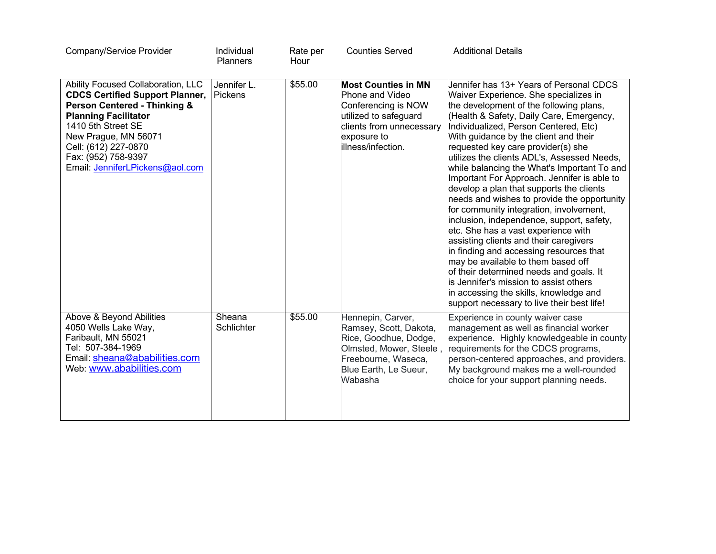| Company/Service Provider                                                                                                                                                                                                                                                               | Individual<br><b>Planners</b> | Rate per<br>Hour | <b>Counties Served</b>                                                                                                                                          | <b>Additional Details</b>                                                                                                                                                                                                                                                                                                                                                                                                                                                                                                                                                                                                                                                                                                                                                                                                                                                                                                                                                      |
|----------------------------------------------------------------------------------------------------------------------------------------------------------------------------------------------------------------------------------------------------------------------------------------|-------------------------------|------------------|-----------------------------------------------------------------------------------------------------------------------------------------------------------------|--------------------------------------------------------------------------------------------------------------------------------------------------------------------------------------------------------------------------------------------------------------------------------------------------------------------------------------------------------------------------------------------------------------------------------------------------------------------------------------------------------------------------------------------------------------------------------------------------------------------------------------------------------------------------------------------------------------------------------------------------------------------------------------------------------------------------------------------------------------------------------------------------------------------------------------------------------------------------------|
| Ability Focused Collaboration, LLC<br><b>CDCS Certified Support Planner,</b><br><b>Person Centered - Thinking &amp;</b><br><b>Planning Facilitator</b><br>1410 5th Street SE<br>New Prague, MN 56071<br>Cell: (612) 227-0870<br>Fax: (952) 758-9397<br>Email: JenniferLPickens@aol.com | Jennifer L.<br>Pickens        | \$55.00          | <b>Most Counties in MN</b><br>Phone and Video<br>Conferencing is NOW<br>utilized to safeguard<br>clients from unnecessary<br>exposure to<br>lillness/infection. | Jennifer has 13+ Years of Personal CDCS<br>Waiver Experience. She specializes in<br>the development of the following plans,<br>(Health & Safety, Daily Care, Emergency,<br>Individualized, Person Centered, Etc)<br>With guidance by the client and their<br>requested key care provider(s) she<br>utilizes the clients ADL's, Assessed Needs,<br>while balancing the What's Important To and<br>Important For Approach. Jennifer is able to<br>develop a plan that supports the clients<br>needs and wishes to provide the opportunity<br>for community integration, involvement,<br>inclusion, independence, support, safety,<br>etc. She has a vast experience with<br>assisting clients and their caregivers<br>in finding and accessing resources that<br>may be available to them based off<br>of their determined needs and goals. It<br>is Jennifer's mission to assist others<br>in accessing the skills, knowledge and<br>support necessary to live their best life! |
| Above & Beyond Abilities<br>4050 Wells Lake Way,<br>Faribault, MN 55021<br>Tel: 507-384-1969<br>Email: sheana@ababilities.com<br>Web: www.ababilities.com                                                                                                                              | Sheana<br>Schlichter          | \$55.00          | Hennepin, Carver,<br>Ramsey, Scott, Dakota,<br>Rice, Goodhue, Dodge,<br>Olmsted, Mower, Steele,<br>Freebourne, Waseca,<br>Blue Earth, Le Sueur,<br>Wabasha      | Experience in county waiver case<br>management as well as financial worker<br>experience. Highly knowledgeable in county<br>requirements for the CDCS programs,<br>person-centered approaches, and providers.<br>My background makes me a well-rounded<br>choice for your support planning needs.                                                                                                                                                                                                                                                                                                                                                                                                                                                                                                                                                                                                                                                                              |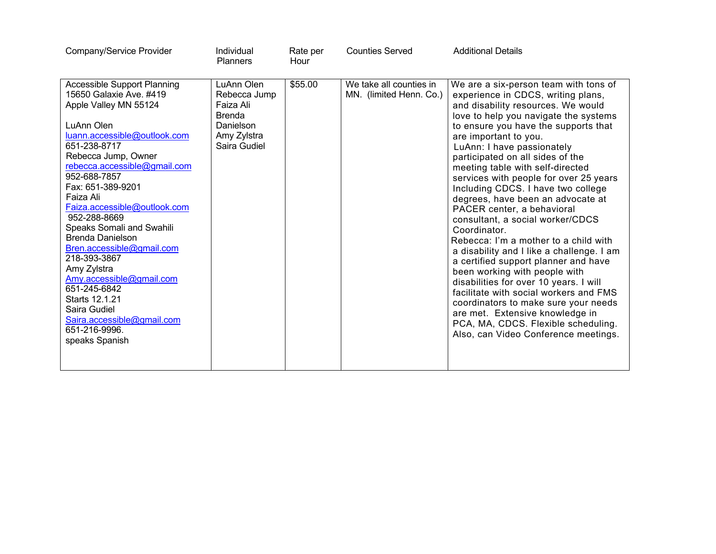| Company/Service Provider                                                                                                                                                                                                                                                                                                                                                                                                                                                                                                                                                                | Individual<br><b>Planners</b>                                                                        | Rate per<br>Hour | <b>Counties Served</b>                             | <b>Additional Details</b>                                                                                                                                                                                                                                                                                                                                                                                                                                                                                                                                                                                                                                                                                                                                                                                                                                                                                                                             |
|-----------------------------------------------------------------------------------------------------------------------------------------------------------------------------------------------------------------------------------------------------------------------------------------------------------------------------------------------------------------------------------------------------------------------------------------------------------------------------------------------------------------------------------------------------------------------------------------|------------------------------------------------------------------------------------------------------|------------------|----------------------------------------------------|-------------------------------------------------------------------------------------------------------------------------------------------------------------------------------------------------------------------------------------------------------------------------------------------------------------------------------------------------------------------------------------------------------------------------------------------------------------------------------------------------------------------------------------------------------------------------------------------------------------------------------------------------------------------------------------------------------------------------------------------------------------------------------------------------------------------------------------------------------------------------------------------------------------------------------------------------------|
| <b>Accessible Support Planning</b><br>15650 Galaxie Ave. #419<br>Apple Valley MN 55124<br>LuAnn Olen<br>luann.accessible@outlook.com<br>651-238-8717<br>Rebecca Jump, Owner<br>rebecca.accessible@gmail.com<br>952-688-7857<br>Fax: 651-389-9201<br>Faiza Ali<br>Faiza.accessible@outlook.com<br>952-288-8669<br><b>Speaks Somali and Swahili</b><br><b>Brenda Danielson</b><br>Bren.accessible@gmail.com<br>218-393-3867<br>Amy Zylstra<br>Amy.accessible@gmail.com<br>651-245-6842<br>Starts 12.1.21<br>Saira Gudiel<br>Saira.accessible@gmail.com<br>651-216-9996.<br>speaks Spanish | LuAnn Olen<br>Rebecca Jump<br>Faiza Ali<br><b>Brenda</b><br>Danielson<br>Amy Zylstra<br>Saira Gudiel | \$55.00          | We take all counties in<br>MN. (limited Henn. Co.) | We are a six-person team with tons of<br>experience in CDCS, writing plans,<br>and disability resources. We would<br>love to help you navigate the systems<br>to ensure you have the supports that<br>are important to you.<br>LuAnn: I have passionately<br>participated on all sides of the<br>meeting table with self-directed<br>services with people for over 25 years<br>Including CDCS. I have two college<br>degrees, have been an advocate at<br>PACER center, a behavioral<br>consultant, a social worker/CDCS<br>Coordinator.<br>Rebecca: I'm a mother to a child with<br>a disability and I like a challenge. I am<br>a certified support planner and have<br>been working with people with<br>disabilities for over 10 years. I will<br>facilitate with social workers and FMS<br>coordinators to make sure your needs<br>are met. Extensive knowledge in<br>PCA, MA, CDCS. Flexible scheduling.<br>Also, can Video Conference meetings. |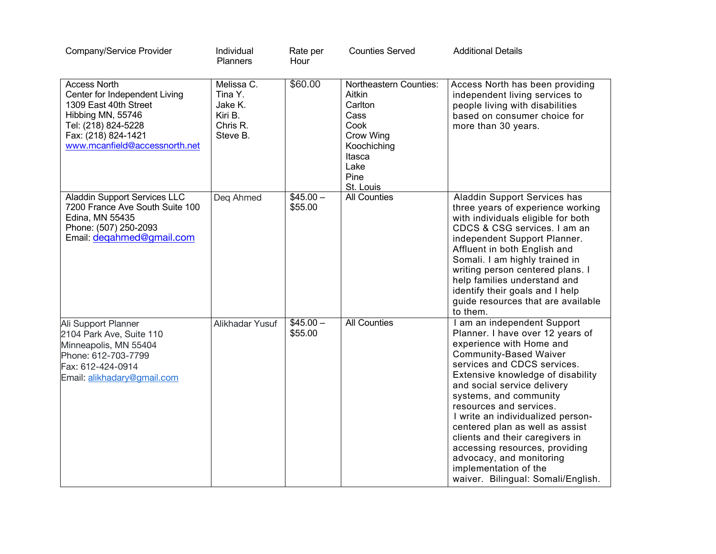| Company/Service Provider                                                                                                                                                          | Individual<br>Planners                                              | Rate per<br>Hour     | <b>Counties Served</b>                                                                                                                | <b>Additional Details</b>                                                                                                                                                                                                                                                                                                                                                                                                                                                                                                    |
|-----------------------------------------------------------------------------------------------------------------------------------------------------------------------------------|---------------------------------------------------------------------|----------------------|---------------------------------------------------------------------------------------------------------------------------------------|------------------------------------------------------------------------------------------------------------------------------------------------------------------------------------------------------------------------------------------------------------------------------------------------------------------------------------------------------------------------------------------------------------------------------------------------------------------------------------------------------------------------------|
| <b>Access North</b><br>Center for Independent Living<br>1309 East 40th Street<br>Hibbing MN, 55746<br>Tel: (218) 824-5228<br>Fax: (218) 824-1421<br>www.mcanfield@accessnorth.net | Melissa C.<br>Tina Y.<br>Jake K.<br>Kiri B.<br>Chris R.<br>Steve B. | \$60.00              | <b>Northeastern Counties:</b><br>Aitkin<br>Carlton<br>Cass<br>Cook<br>Crow Wing<br>Koochiching<br>Itasca<br>Lake<br>Pine<br>St. Louis | Access North has been providing<br>independent living services to<br>people living with disabilities<br>based on consumer choice for<br>more than 30 years.                                                                                                                                                                                                                                                                                                                                                                  |
| <b>Aladdin Support Services LLC</b><br>7200 France Ave South Suite 100<br>Edina, MN 55435<br>Phone: (507) 250-2093<br>Email: degahmed@gmail.com                                   | Deg Ahmed                                                           | $$45.00-$<br>\$55.00 | <b>All Counties</b>                                                                                                                   | Aladdin Support Services has<br>three years of experience working<br>with individuals eligible for both<br>CDCS & CSG services. I am an<br>independent Support Planner.<br>Affluent in both English and<br>Somali. I am highly trained in<br>writing person centered plans. I<br>help families understand and<br>identify their goals and I help<br>guide resources that are available<br>to them.                                                                                                                           |
| Ali Support Planner<br>2104 Park Ave, Suite 110<br>Minneapolis, MN 55404<br>Phone: 612-703-7799<br>Fax: 612-424-0914<br>Email: alikhadary@gmail.com                               | Alikhadar Yusuf                                                     | $$45.00-$<br>\$55.00 | <b>All Counties</b>                                                                                                                   | I am an independent Support<br>Planner. I have over 12 years of<br>experience with Home and<br><b>Community-Based Waiver</b><br>services and CDCS services.<br>Extensive knowledge of disability<br>and social service delivery<br>systems, and community<br>resources and services.<br>I write an individualized person-<br>centered plan as well as assist<br>clients and their caregivers in<br>accessing resources, providing<br>advocacy, and monitoring<br>implementation of the<br>waiver. Bilingual: Somali/English. |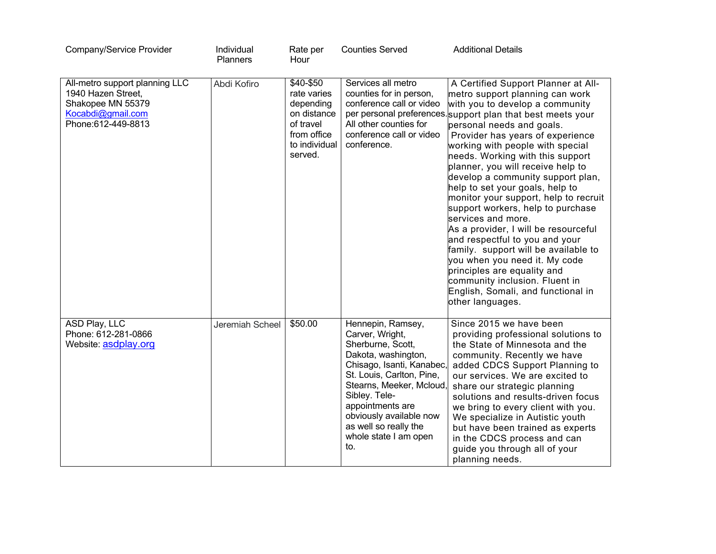| Company/Service Provider                                                                                             | Individual<br>Planners | Rate per<br>Hour                                                                                             | <b>Counties Served</b>                                                                                                                                                                                                                                                                          | <b>Additional Details</b>                                                                                                                                                                                                                                                                                                                                                                                                                                                                                                                                                                                                                                                                                                                                                                                       |
|----------------------------------------------------------------------------------------------------------------------|------------------------|--------------------------------------------------------------------------------------------------------------|-------------------------------------------------------------------------------------------------------------------------------------------------------------------------------------------------------------------------------------------------------------------------------------------------|-----------------------------------------------------------------------------------------------------------------------------------------------------------------------------------------------------------------------------------------------------------------------------------------------------------------------------------------------------------------------------------------------------------------------------------------------------------------------------------------------------------------------------------------------------------------------------------------------------------------------------------------------------------------------------------------------------------------------------------------------------------------------------------------------------------------|
| All-metro support planning LLC<br>1940 Hazen Street,<br>Shakopee MN 55379<br>Kocabdi@gmail.com<br>Phone:612-449-8813 | Abdi Kofiro            | \$40-\$50<br>rate varies<br>depending<br>on distance<br>of travel<br>from office<br>to individual<br>served. | Services all metro<br>counties for in person,<br>conference call or video<br>All other counties for<br>conference call or video<br>conference.                                                                                                                                                  | A Certified Support Planner at All-<br>metro support planning can work<br>with you to develop a community<br>per personal preferences support plan that best meets your<br>personal needs and goals.<br>Provider has years of experience<br>working with people with special<br>needs. Working with this support<br>planner, you will receive help to<br>develop a community support plan,<br>help to set your goals, help to<br>monitor your support, help to recruit<br>support workers, help to purchase<br>services and more.<br>As a provider, I will be resourceful<br>and respectful to you and your<br>family. support will be available to<br>you when you need it. My code<br>principles are equality and<br>community inclusion. Fluent in<br>English, Somali, and functional in<br>other languages. |
| ASD Play, LLC<br>Phone: 612-281-0866<br>Website: asdplay.org                                                         | Jeremiah Scheel        | \$50.00                                                                                                      | Hennepin, Ramsey,<br>Carver, Wright,<br>Sherburne, Scott,<br>Dakota, washington,<br>Chisago, Isanti, Kanabec,<br>St. Louis, Carlton, Pine,<br>Stearns, Meeker, Mcloud,<br>Sibley. Tele-<br>appointments are<br>obviously available now<br>as well so really the<br>whole state I am open<br>to. | Since 2015 we have been<br>providing professional solutions to<br>the State of Minnesota and the<br>community. Recently we have<br>added CDCS Support Planning to<br>our services. We are excited to<br>share our strategic planning<br>solutions and results-driven focus<br>we bring to every client with you.<br>We specialize in Autistic youth<br>but have been trained as experts<br>in the CDCS process and can<br>guide you through all of your<br>planning needs.                                                                                                                                                                                                                                                                                                                                      |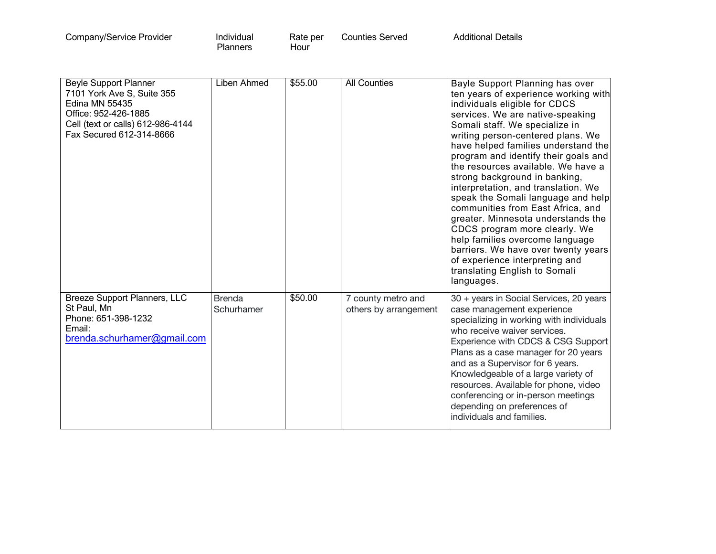| Individual<br>Company/Service Provider<br><b>Planners</b> | Rate per<br>Hour | <b>Counties Served</b> | <b>Additional Details</b> |  |
|-----------------------------------------------------------|------------------|------------------------|---------------------------|--|
|-----------------------------------------------------------|------------------|------------------------|---------------------------|--|

| <b>Beyle Support Planner</b><br>7101 York Ave S, Suite 355<br><b>Edina MN 55435</b><br>Office: 952-426-1885<br>Cell (text or calls) 612-986-4144<br>Fax Secured 612-314-8666 | Liben Ahmed                 | \$55.00 | <b>All Counties</b>                         | Bayle Support Planning has over<br>ten years of experience working with<br>individuals eligible for CDCS<br>services. We are native-speaking<br>Somali staff. We specialize in<br>writing person-centered plans. We<br>have helped families understand the<br>program and identify their goals and<br>the resources available. We have a<br>strong background in banking,<br>interpretation, and translation. We<br>speak the Somali language and help<br>communities from East Africa, and<br>greater. Minnesota understands the<br>CDCS program more clearly. We<br>help families overcome language<br>barriers. We have over twenty years<br>of experience interpreting and<br>translating English to Somali<br>languages. |
|------------------------------------------------------------------------------------------------------------------------------------------------------------------------------|-----------------------------|---------|---------------------------------------------|-------------------------------------------------------------------------------------------------------------------------------------------------------------------------------------------------------------------------------------------------------------------------------------------------------------------------------------------------------------------------------------------------------------------------------------------------------------------------------------------------------------------------------------------------------------------------------------------------------------------------------------------------------------------------------------------------------------------------------|
| Breeze Support Planners, LLC<br>St Paul, Mn<br>Phone: 651-398-1232<br>Email:<br>brenda.schurhamer@gmail.com                                                                  | <b>Brenda</b><br>Schurhamer | \$50.00 | 7 county metro and<br>others by arrangement | 30 + years in Social Services, 20 years<br>case management experience<br>specializing in working with individuals<br>who receive waiver services.<br>Experience with CDCS & CSG Support<br>Plans as a case manager for 20 years<br>and as a Supervisor for 6 years.<br>Knowledgeable of a large variety of<br>resources. Available for phone, video<br>conferencing or in-person meetings<br>depending on preferences of<br>individuals and families.                                                                                                                                                                                                                                                                         |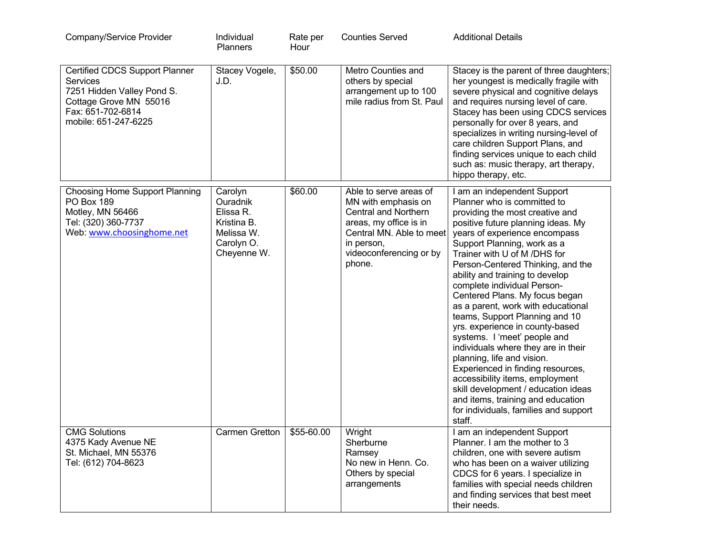| Company/Service Provider                                                                                                                        | Individual<br>Planners                                                                     | Rate per<br>Hour | <b>Counties Served</b>                                                                                                                                                         | <b>Additional Details</b>                                                                                                                                                                                                                                                                                                                                                                                                                                                                                                                                                                                                                                                                                                                                                                           |
|-------------------------------------------------------------------------------------------------------------------------------------------------|--------------------------------------------------------------------------------------------|------------------|--------------------------------------------------------------------------------------------------------------------------------------------------------------------------------|-----------------------------------------------------------------------------------------------------------------------------------------------------------------------------------------------------------------------------------------------------------------------------------------------------------------------------------------------------------------------------------------------------------------------------------------------------------------------------------------------------------------------------------------------------------------------------------------------------------------------------------------------------------------------------------------------------------------------------------------------------------------------------------------------------|
| Certified CDCS Support Planner<br>Services<br>7251 Hidden Valley Pond S.<br>Cottage Grove MN 55016<br>Fax: 651-702-6814<br>mobile: 651-247-6225 | Stacey Vogele,<br>J.D.                                                                     | \$50.00          | Metro Counties and<br>others by special<br>arrangement up to 100<br>mile radius from St. Paul                                                                                  | Stacey is the parent of three daughters;<br>her youngest is medically fragile with<br>severe physical and cognitive delays<br>and requires nursing level of care.<br>Stacey has been using CDCS services<br>personally for over 8 years, and<br>specializes in writing nursing-level of<br>care children Support Plans, and<br>finding services unique to each child<br>such as: music therapy, art therapy,<br>hippo therapy, etc.                                                                                                                                                                                                                                                                                                                                                                 |
| <b>Choosing Home Support Planning</b><br><b>PO Box 189</b><br>Motley, MN 56466<br>Tel: (320) 360-7737<br>Web: www.choosinghome.net              | Carolyn<br>Ouradnik<br>Elissa R.<br>Kristina B.<br>Melissa W.<br>Carolyn O.<br>Cheyenne W. | \$60.00          | Able to serve areas of<br>MN with emphasis on<br>Central and Northern<br>areas, my office is in<br>Central MN. Able to meet<br>in person,<br>videoconferencing or by<br>phone. | I am an independent Support<br>Planner who is committed to<br>providing the most creative and<br>positive future planning ideas. My<br>years of experience encompass<br>Support Planning, work as a<br>Trainer with U of M /DHS for<br>Person-Centered Thinking, and the<br>ability and training to develop<br>complete individual Person-<br>Centered Plans. My focus began<br>as a parent, work with educational<br>teams, Support Planning and 10<br>yrs. experience in county-based<br>systems. I 'meet' people and<br>individuals where they are in their<br>planning, life and vision.<br>Experienced in finding resources,<br>accessibility items, employment<br>skill development / education ideas<br>and items, training and education<br>for individuals, families and support<br>staff. |
| <b>CMG Solutions</b><br>4375 Kady Avenue NE<br>St. Michael, MN 55376<br>Tel: (612) 704-8623                                                     | <b>Carmen Gretton</b>                                                                      | \$55-60.00       | Wright<br>Sherburne<br>Ramsey<br>No new in Henn. Co.<br>Others by special<br>arrangements                                                                                      | I am an independent Support<br>Planner. I am the mother to 3<br>children, one with severe autism<br>who has been on a waiver utilizing<br>CDCS for 6 years. I specialize in<br>families with special needs children<br>and finding services that best meet<br>their needs.                                                                                                                                                                                                                                                                                                                                                                                                                                                                                                                          |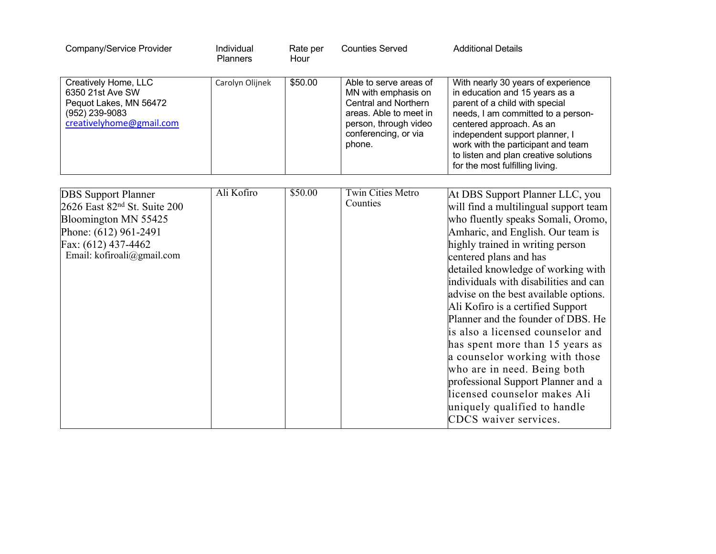| Company/Service Provider                                                                                                                                                     | Individual<br><b>Planners</b> | Rate per<br>Hour | <b>Counties Served</b>                                                                                                                                            | <b>Additional Details</b>                                                                                                                                                                                                                                                                                                                                                                                                                                                                                                                                                                                                                                                                   |
|------------------------------------------------------------------------------------------------------------------------------------------------------------------------------|-------------------------------|------------------|-------------------------------------------------------------------------------------------------------------------------------------------------------------------|---------------------------------------------------------------------------------------------------------------------------------------------------------------------------------------------------------------------------------------------------------------------------------------------------------------------------------------------------------------------------------------------------------------------------------------------------------------------------------------------------------------------------------------------------------------------------------------------------------------------------------------------------------------------------------------------|
| Creatively Home, LLC<br>6350 21st Ave SW<br>Pequot Lakes, MN 56472<br>(952) 239-9083<br>creativelyhome@gmail.com                                                             | Carolyn Olijnek               | \$50.00          | Able to serve areas of<br>MN with emphasis on<br><b>Central and Northern</b><br>areas. Able to meet in<br>person, through video<br>conferencing, or via<br>phone. | With nearly 30 years of experience<br>in education and 15 years as a<br>parent of a child with special<br>needs, I am committed to a person-<br>centered approach. As an<br>independent support planner, I<br>work with the participant and team<br>to listen and plan creative solutions<br>for the most fulfilling living.                                                                                                                                                                                                                                                                                                                                                                |
|                                                                                                                                                                              |                               |                  |                                                                                                                                                                   |                                                                                                                                                                                                                                                                                                                                                                                                                                                                                                                                                                                                                                                                                             |
| <b>DBS</b> Support Planner<br>2626 East 82 <sup>nd</sup> St. Suite 200<br>Bloomington MN 55425<br>Phone: (612) 961-2491<br>Fax: (612) 437-4462<br>Email: kofiroali@gmail.com | Ali Kofiro                    | \$50.00          | <b>Twin Cities Metro</b><br>Counties                                                                                                                              | At DBS Support Planner LLC, you<br>will find a multilingual support team<br>who fluently speaks Somali, Oromo,<br>Amharic, and English. Our team is<br>highly trained in writing person<br>centered plans and has<br>detailed knowledge of working with<br>individuals with disabilities and can<br>advise on the best available options.<br>Ali Kofiro is a certified Support<br>Planner and the founder of DBS. He<br>is also a licensed counselor and<br>has spent more than 15 years as<br>a counselor working with those<br>who are in need. Being both<br>professional Support Planner and a<br>licensed counselor makes Ali<br>uniquely qualified to handle<br>CDCS waiver services. |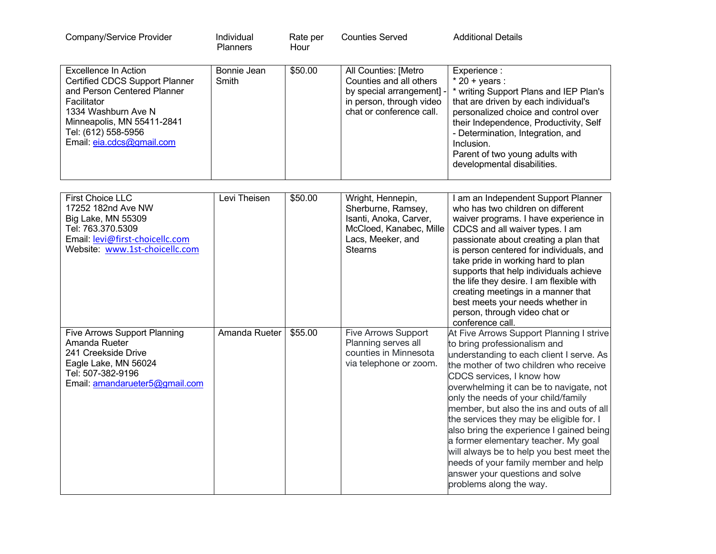| Company/Service Provider                                                                                                                                                                                                    | Individual<br><b>Planners</b> | Rate per<br>Hour | <b>Counties Served</b>                                                                                                             | <b>Additional Details</b>                                                                                                                                                                                                                                                                                                                                                                                                                                                                                                                                                                                   |
|-----------------------------------------------------------------------------------------------------------------------------------------------------------------------------------------------------------------------------|-------------------------------|------------------|------------------------------------------------------------------------------------------------------------------------------------|-------------------------------------------------------------------------------------------------------------------------------------------------------------------------------------------------------------------------------------------------------------------------------------------------------------------------------------------------------------------------------------------------------------------------------------------------------------------------------------------------------------------------------------------------------------------------------------------------------------|
| <b>Excellence In Action</b><br><b>Certified CDCS Support Planner</b><br>and Person Centered Planner<br>Facilitator<br>1334 Washburn Ave N<br>Minneapolis, MN 55411-2841<br>Tel: (612) 558-5956<br>Email: eia.cdcs@gmail.com | Bonnie Jean<br>Smith          | \$50.00          | All Counties: [Metro<br>Counties and all others<br>by special arrangement]<br>in person, through video<br>chat or conference call. | Experience:<br>$*$ 20 + years :<br>* writing Support Plans and IEP Plan's<br>that are driven by each individual's<br>personalized choice and control over<br>their Independence, Productivity, Self<br>- Determination, Integration, and<br>Inclusion.<br>Parent of two young adults with<br>developmental disabilities.                                                                                                                                                                                                                                                                                    |
| <b>First Choice LLC</b>                                                                                                                                                                                                     | Levi Theisen                  | \$50.00          | Wright, Hennepin,                                                                                                                  | I am an Independent Support Planner                                                                                                                                                                                                                                                                                                                                                                                                                                                                                                                                                                         |
| 17252 182nd Ave NW<br>Big Lake, MN 55309<br>Tel: 763.370.5309<br>Email: levi@first-choicellc.com<br>Website: www.1st-choicellc.com                                                                                          |                               |                  | Sherburne, Ramsey,<br>Isanti, Anoka, Carver,<br>McCloed, Kanabec, Mille<br>Lacs, Meeker, and<br><b>Stearns</b>                     | who has two children on different<br>waiver programs. I have experience in<br>CDCS and all waiver types. I am<br>passionate about creating a plan that<br>is person centered for individuals, and<br>take pride in working hard to plan<br>supports that help individuals achieve<br>the life they desire. I am flexible with<br>creating meetings in a manner that<br>best meets your needs whether in<br>person, through video chat or<br>conference call.                                                                                                                                                |
| <b>Five Arrows Support Planning</b><br>Amanda Rueter<br>241 Creekside Drive<br>Eagle Lake, MN 56024<br>Tel: 507-382-9196<br>Email: amandarueter5@gmail.com                                                                  | Amanda Rueter                 | \$55.00          | Five Arrows Support<br>Planning serves all<br>counties in Minnesota<br>via telephone or zoom.                                      | At Five Arrows Support Planning I strive<br>to bring professionalism and<br>understanding to each client I serve. As<br>the mother of two children who receive<br>CDCS services, I know how<br>overwhelming it can be to navigate, not<br>only the needs of your child/family<br>member, but also the ins and outs of all<br>the services they may be eligible for. I<br>also bring the experience I gained being<br>a former elementary teacher. My goal<br>will always be to help you best meet the<br>needs of your family member and help<br>answer your questions and solve<br>problems along the way. |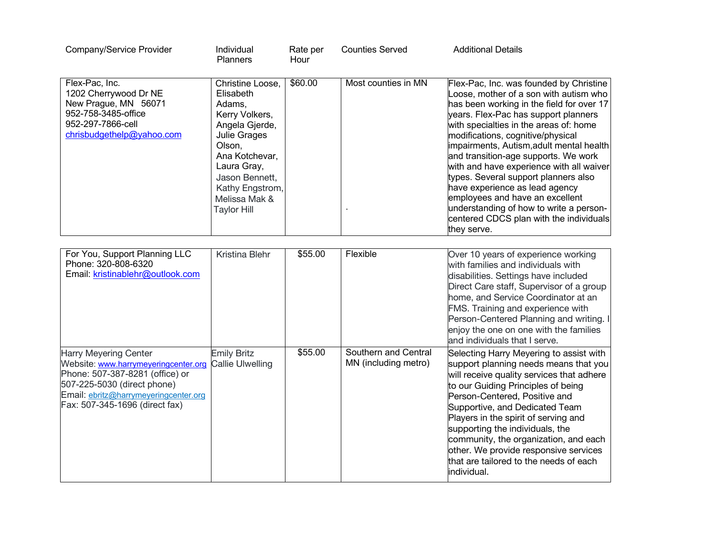| Company/Service Provider                                                                                                                                                                                          | Individual<br><b>Planners</b>                                                                                                                                                                                      | Rate per<br>Hour | <b>Counties Served</b>                       | <b>Additional Details</b>                                                                                                                                                                                                                                                                                                                                                                                                                                                                                                                                                                              |
|-------------------------------------------------------------------------------------------------------------------------------------------------------------------------------------------------------------------|--------------------------------------------------------------------------------------------------------------------------------------------------------------------------------------------------------------------|------------------|----------------------------------------------|--------------------------------------------------------------------------------------------------------------------------------------------------------------------------------------------------------------------------------------------------------------------------------------------------------------------------------------------------------------------------------------------------------------------------------------------------------------------------------------------------------------------------------------------------------------------------------------------------------|
| Flex-Pac, Inc.<br>1202 Cherrywood Dr NE<br>New Prague, MN 56071<br>952-758-3485-office<br>952-297-7866-cell<br>chrisbudgethelp@yahoo.com                                                                          | Christine Loose,<br>Elisabeth<br>Adams,<br>Kerry Volkers,<br>Angela Gjerde,<br>Julie Grages<br>Olson,<br>Ana Kotchevar,<br>Laura Gray,<br>Jason Bennett,<br>Kathy Engstrom,<br>Melissa Mak &<br><b>Taylor Hill</b> | \$60.00          | Most counties in MN                          | Flex-Pac, Inc. was founded by Christine<br>Loose, mother of a son with autism who<br>has been working in the field for over 17<br>years. Flex-Pac has support planners<br>with specialties in the areas of: home<br>modifications, cognitive/physical<br>impairments, Autism,adult mental health<br>and transition-age supports. We work<br>with and have experience with all waiver<br>types. Several support planners also<br>have experience as lead agency<br>employees and have an excellent<br>understanding of how to write a person-<br>centered CDCS plan with the individuals<br>they serve. |
| For You, Support Planning LLC<br>Phone: 320-808-6320<br>Email: kristinablehr@outlook.com                                                                                                                          | Kristina Blehr                                                                                                                                                                                                     | \$55.00          | Flexible                                     | Over 10 years of experience working<br>with families and individuals with<br>disabilities. Settings have included<br>Direct Care staff, Supervisor of a group<br>home, and Service Coordinator at an<br>FMS. Training and experience with<br>Person-Centered Planning and writing. I<br>enjoy the one on one with the families<br>and individuals that I serve.                                                                                                                                                                                                                                        |
| <b>Harry Meyering Center</b><br>Website: www.harrymeyeringcenter.org<br>Phone: 507-387-8281 (office) or<br>507-225-5030 (direct phone)<br>Email: ebritz@harrymeyeringcenter.org<br>Fax: 507-345-1696 (direct fax) | <b>Emily Britz</b><br><b>Callie Ulwelling</b>                                                                                                                                                                      | \$55.00          | Southern and Central<br>MN (including metro) | Selecting Harry Meyering to assist with<br>support planning needs means that you<br>will receive quality services that adhere<br>to our Guiding Principles of being<br>Person-Centered, Positive and<br>Supportive, and Dedicated Team<br>Players in the spirit of serving and<br>supporting the individuals, the<br>community, the organization, and each<br>other. We provide responsive services<br>that are tailored to the needs of each<br>individual.                                                                                                                                           |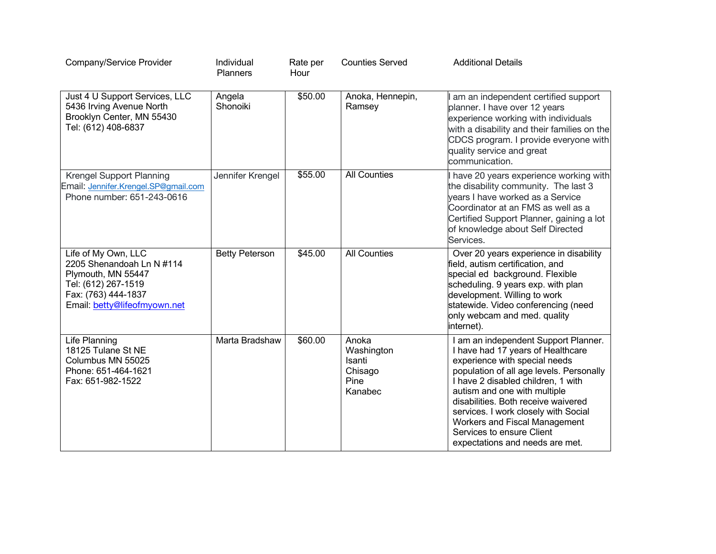| Company/Service Provider                                                                                                                             | Individual<br><b>Planners</b> | Rate per<br>Hour | <b>Counties Served</b>                                      | <b>Additional Details</b>                                                                                                                                                                                                                                                                                                                                                                                    |
|------------------------------------------------------------------------------------------------------------------------------------------------------|-------------------------------|------------------|-------------------------------------------------------------|--------------------------------------------------------------------------------------------------------------------------------------------------------------------------------------------------------------------------------------------------------------------------------------------------------------------------------------------------------------------------------------------------------------|
| Just 4 U Support Services, LLC<br>5436 Irving Avenue North<br>Brooklyn Center, MN 55430<br>Tel: (612) 408-6837                                       | Angela<br>Shonoiki            | \$50.00          | Anoka, Hennepin,<br>Ramsey                                  | am an independent certified support<br>planner. I have over 12 years<br>experience working with individuals<br>with a disability and their families on the<br>CDCS program. I provide everyone with<br>quality service and great<br>communication.                                                                                                                                                           |
| Krengel Support Planning<br>Email: Jennifer.Krengel.SP@gmail.com<br>Phone number: 651-243-0616                                                       | Jennifer Krengel              | \$55.00          | <b>All Counties</b>                                         | have 20 years experience working with<br>the disability community. The last 3<br>years I have worked as a Service<br>Coordinator at an FMS as well as a<br>Certified Support Planner, gaining a lot<br>of knowledge about Self Directed<br>Services.                                                                                                                                                         |
| Life of My Own, LLC<br>2205 Shenandoah Ln N #114<br>Plymouth, MN 55447<br>Tel: (612) 267-1519<br>Fax: (763) 444-1837<br>Email: betty@lifeofmyown.net | <b>Betty Peterson</b>         | \$45.00          | <b>All Counties</b>                                         | Over 20 years experience in disability<br>field, autism certification, and<br>special ed background. Flexible<br>scheduling. 9 years exp. with plan<br>development. Willing to work<br>statewide. Video conferencing (need<br>only webcam and med. quality<br>internet).                                                                                                                                     |
| Life Planning<br>18125 Tulane St NE<br>Columbus MN 55025<br>Phone: 651-464-1621<br>Fax: 651-982-1522                                                 | Marta Bradshaw                | \$60.00          | Anoka<br>Washington<br>Isanti<br>Chisago<br>Pine<br>Kanabec | I am an independent Support Planner.<br>I have had 17 years of Healthcare<br>experience with special needs<br>population of all age levels. Personally<br>I have 2 disabled children, 1 with<br>autism and one with multiple<br>disabilities. Both receive waivered<br>services. I work closely with Social<br>Workers and Fiscal Management<br>Services to ensure Client<br>expectations and needs are met. |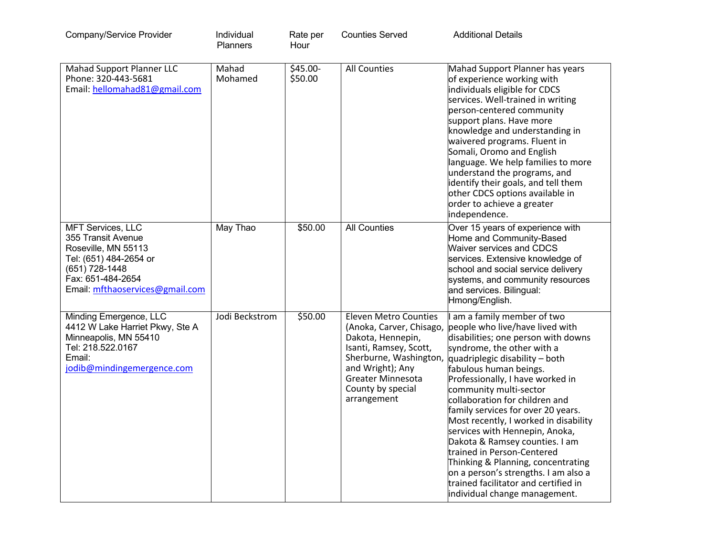| Company/Service Provider                                                                                                                                                  | Individual<br><b>Planners</b> | Rate per<br>Hour    | <b>Counties Served</b>                                                                                                                                                                                                | <b>Additional Details</b>                                                                                                                                                                                                                                                                                                                                                                                                                                                                                                                                                                                                             |
|---------------------------------------------------------------------------------------------------------------------------------------------------------------------------|-------------------------------|---------------------|-----------------------------------------------------------------------------------------------------------------------------------------------------------------------------------------------------------------------|---------------------------------------------------------------------------------------------------------------------------------------------------------------------------------------------------------------------------------------------------------------------------------------------------------------------------------------------------------------------------------------------------------------------------------------------------------------------------------------------------------------------------------------------------------------------------------------------------------------------------------------|
| Mahad Support Planner LLC<br>Phone: 320-443-5681<br>Email: hellomahad81@gmail.com                                                                                         | Mahad<br>Mohamed              | \$45.00-<br>\$50.00 | <b>All Counties</b>                                                                                                                                                                                                   | Mahad Support Planner has years<br>of experience working with<br>individuals eligible for CDCS<br>services. Well-trained in writing<br>person-centered community<br>support plans. Have more<br>knowledge and understanding in<br>waivered programs. Fluent in<br>Somali, Oromo and English<br>language. We help families to more<br>understand the programs, and<br>identify their goals, and tell them<br>other CDCS options available in<br>order to achieve a greater<br>independence.                                                                                                                                            |
| <b>MFT Services, LLC</b><br>355 Transit Avenue<br>Roseville, MN 55113<br>Tel: (651) 484-2654 or<br>(651) 728-1448<br>Fax: 651-484-2654<br>Email: mfthaoservices@gmail.com | May Thao                      | \$50.00             | <b>All Counties</b>                                                                                                                                                                                                   | Over 15 years of experience with<br>Home and Community-Based<br><b>Waiver services and CDCS</b><br>services. Extensive knowledge of<br>school and social service delivery<br>systems, and community resources<br>and services. Bilingual:<br>Hmong/English.                                                                                                                                                                                                                                                                                                                                                                           |
| Minding Emergence, LLC<br>4412 W Lake Harriet Pkwy, Ste A<br>Minneapolis, MN 55410<br>Tel: 218.522.0167<br>Email:<br>jodib@mindingemergence.com                           | Jodi Beckstrom                | \$50.00             | <b>Eleven Metro Counties</b><br>(Anoka, Carver, Chisago,<br>Dakota, Hennepin,<br>Isanti, Ramsey, Scott,<br>Sherburne, Washington,<br>and Wright); Any<br><b>Greater Minnesota</b><br>County by special<br>arrangement | am a family member of two<br>people who live/have lived with<br>disabilities; one person with downs<br>syndrome, the other with a<br>quadriplegic disability - both<br>fabulous human beings.<br>Professionally, I have worked in<br>community multi-sector<br>collaboration for children and<br>family services for over 20 years.<br>Most recently, I worked in disability<br>services with Hennepin, Anoka,<br>Dakota & Ramsey counties. I am<br>trained in Person-Centered<br>Thinking & Planning, concentrating<br>on a person's strengths. I am also a<br>trained facilitator and certified in<br>individual change management. |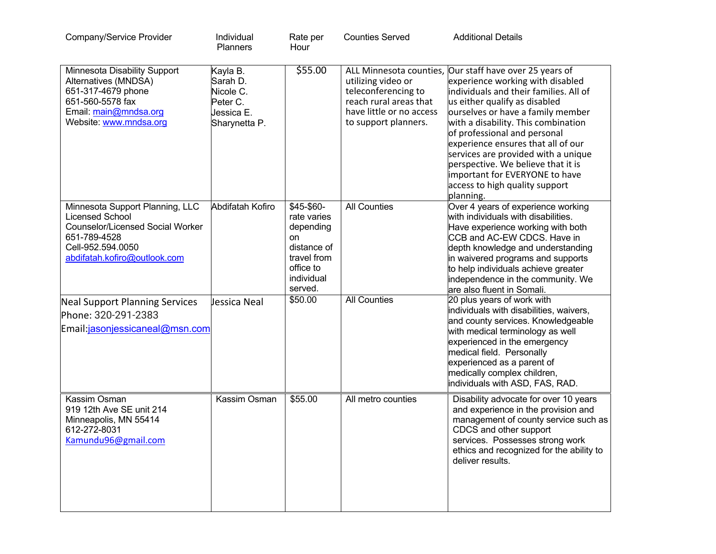| Company/Service Provider                                                                                                                                                  | Individual<br><b>Planners</b>                                                | Rate per<br>Hour                                                                                                 | <b>Counties Served</b>                                                                                                  | <b>Additional Details</b>                                                                                                                                                                                                                                                                                                                                                                                                                                                              |
|---------------------------------------------------------------------------------------------------------------------------------------------------------------------------|------------------------------------------------------------------------------|------------------------------------------------------------------------------------------------------------------|-------------------------------------------------------------------------------------------------------------------------|----------------------------------------------------------------------------------------------------------------------------------------------------------------------------------------------------------------------------------------------------------------------------------------------------------------------------------------------------------------------------------------------------------------------------------------------------------------------------------------|
| Minnesota Disability Support<br>Alternatives (MNDSA)<br>651-317-4679 phone<br>651-560-5578 fax<br>Email: main@mndsa.org<br>Website: www.mndsa.org                         | Kayla B.<br>Sarah D.<br>Nicole C.<br>Peter C.<br>Jessica E.<br>Sharynetta P. | \$55.00                                                                                                          | utilizing video or<br>teleconferencing to<br>reach rural areas that<br>have little or no access<br>to support planners. | ALL Minnesota counties, Our staff have over 25 years of<br>experience working with disabled<br>individuals and their families. All of<br>us either qualify as disabled<br>ourselves or have a family member<br>with a disability. This combination<br>of professional and personal<br>experience ensures that all of our<br>services are provided with a unique<br>perspective. We believe that it is<br>important for EVERYONE to have<br>access to high quality support<br>planning. |
| Minnesota Support Planning, LLC<br><b>Licensed School</b><br><b>Counselor/Licensed Social Worker</b><br>651-789-4528<br>Cell-952.594.0050<br>abdifatah.kofiro@outlook.com | Abdifatah Kofiro                                                             | \$45-\$60-<br>rate varies<br>depending<br>on<br>distance of<br>travel from<br>office to<br>individual<br>served. | <b>All Counties</b>                                                                                                     | Over 4 years of experience working<br>with individuals with disabilities.<br>Have experience working with both<br>CCB and AC-EW CDCS. Have in<br>depth knowledge and understanding<br>in waivered programs and supports<br>to help individuals achieve greater<br>independence in the community. We<br>are also fluent in Somali.                                                                                                                                                      |
| <b>Neal Support Planning Services</b><br>Phone: 320-291-2383<br>Email:jasonjessicaneal@msn.com                                                                            | Jessica Neal                                                                 | \$50.00                                                                                                          | <b>All Counties</b>                                                                                                     | 20 plus years of work with<br>individuals with disabilities, waivers,<br>and county services. Knowledgeable<br>with medical terminology as well<br>experienced in the emergency<br>medical field. Personally<br>experienced as a parent of<br>medically complex children,<br>individuals with ASD, FAS, RAD.                                                                                                                                                                           |
| Kassim Osman<br>919 12th Ave SE unit 214<br>Minneapolis, MN 55414<br>612-272-8031<br>Kamundu96@gmail.com                                                                  | Kassim Osman                                                                 | \$55.00                                                                                                          | All metro counties                                                                                                      | Disability advocate for over 10 years<br>and experience in the provision and<br>management of county service such as<br>CDCS and other support<br>services. Possesses strong work<br>ethics and recognized for the ability to<br>deliver results.                                                                                                                                                                                                                                      |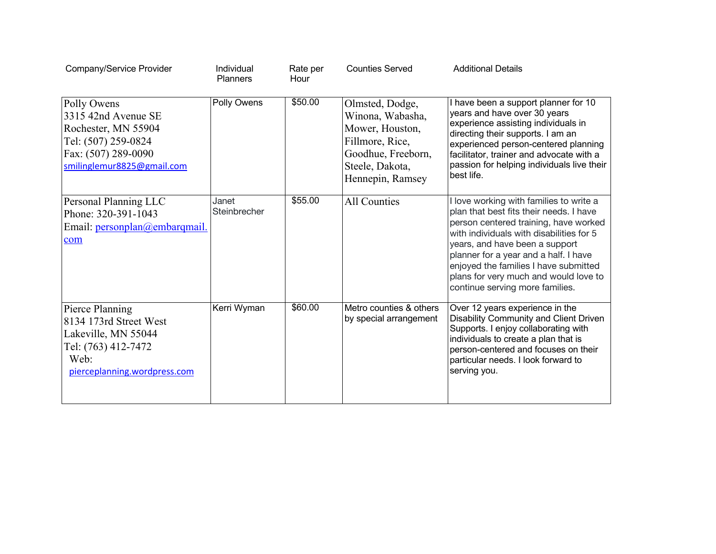| Company/Service Provider                                                                                                              | Individual<br><b>Planners</b> | Rate per<br>Hour | <b>Counties Served</b>                                                                                                                 | <b>Additional Details</b>                                                                                                                                                                                                                                                                                                                                             |
|---------------------------------------------------------------------------------------------------------------------------------------|-------------------------------|------------------|----------------------------------------------------------------------------------------------------------------------------------------|-----------------------------------------------------------------------------------------------------------------------------------------------------------------------------------------------------------------------------------------------------------------------------------------------------------------------------------------------------------------------|
| Polly Owens<br>3315 42nd Avenue SE<br>Rochester, MN 55904<br>Tel: (507) 259-0824<br>Fax: (507) 289-0090<br>smilinglemur8825@gmail.com | Polly Owens                   | \$50.00          | Olmsted, Dodge,<br>Winona, Wabasha,<br>Mower, Houston,<br>Fillmore, Rice,<br>Goodhue, Freeborn,<br>Steele, Dakota,<br>Hennepin, Ramsey | I have been a support planner for 10<br>years and have over 30 years<br>experience assisting individuals in<br>directing their supports. I am an<br>experienced person-centered planning<br>facilitator, trainer and advocate with a<br>passion for helping individuals live their<br>best life.                                                                      |
| Personal Planning LLC<br>Phone: 320-391-1043<br>Email: personplan@embarqmail.<br>com                                                  | Janet<br>Steinbrecher         | \$55.00          | <b>All Counties</b>                                                                                                                    | love working with families to write a<br>plan that best fits their needs. I have<br>person centered training, have worked<br>with individuals with disabilities for 5<br>years, and have been a support<br>planner for a year and a half. I have<br>enjoyed the families I have submitted<br>plans for very much and would love to<br>continue serving more families. |
| Pierce Planning<br>8134 173rd Street West<br>Lakeville, MN 55044<br>Tel: (763) 412-7472<br>Web:<br>pierceplanning.wordpress.com       | Kerri Wyman                   | \$60.00          | Metro counties & others<br>by special arrangement                                                                                      | Over 12 years experience in the<br>Disability Community and Client Driven<br>Supports. I enjoy collaborating with<br>individuals to create a plan that is<br>person-centered and focuses on their<br>particular needs. I look forward to<br>serving you.                                                                                                              |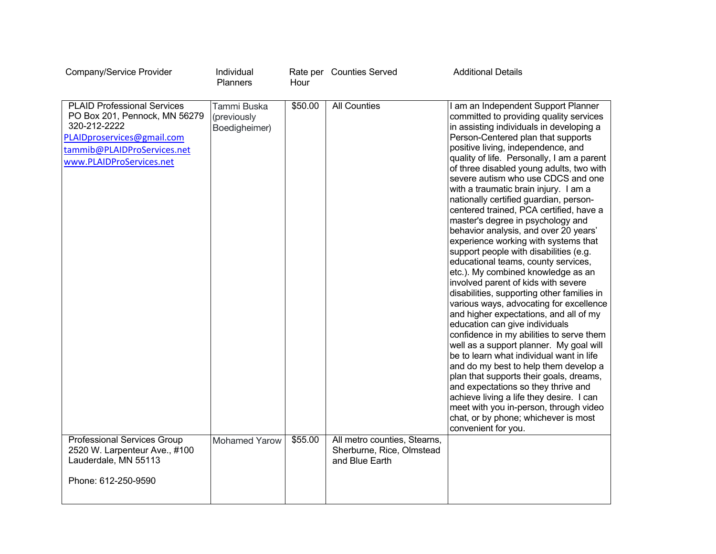| Company/Service Provider                                                                                                                                                                                           | Individual<br><b>Planners</b>                                | Hour               | Rate per Counties Served                            | <b>Additional Details</b>                                                                                                                                                                                                                                                                                                                                                                                                                                                                                                                                                                                                                                                                                                                                                                                                                                                                                                                                                                                                                                                                                                                                                                                                                                                                                                                        |
|--------------------------------------------------------------------------------------------------------------------------------------------------------------------------------------------------------------------|--------------------------------------------------------------|--------------------|-----------------------------------------------------|--------------------------------------------------------------------------------------------------------------------------------------------------------------------------------------------------------------------------------------------------------------------------------------------------------------------------------------------------------------------------------------------------------------------------------------------------------------------------------------------------------------------------------------------------------------------------------------------------------------------------------------------------------------------------------------------------------------------------------------------------------------------------------------------------------------------------------------------------------------------------------------------------------------------------------------------------------------------------------------------------------------------------------------------------------------------------------------------------------------------------------------------------------------------------------------------------------------------------------------------------------------------------------------------------------------------------------------------------|
|                                                                                                                                                                                                                    |                                                              |                    |                                                     |                                                                                                                                                                                                                                                                                                                                                                                                                                                                                                                                                                                                                                                                                                                                                                                                                                                                                                                                                                                                                                                                                                                                                                                                                                                                                                                                                  |
| <b>PLAID Professional Services</b><br>PO Box 201, Pennock, MN 56279<br>320-212-2222<br>PLAIDproservices@gmail.com<br>tammib@PLAIDProServices.net<br>www.PLAIDProServices.net<br><b>Professional Services Group</b> | Tammi Buska<br>(previously<br>Boedigheimer)<br>Mohamed Yarow | \$50.00<br>\$55.00 | <b>All Counties</b><br>All metro counties, Stearns, | I am an Independent Support Planner<br>committed to providing quality services<br>in assisting individuals in developing a<br>Person-Centered plan that supports<br>positive living, independence, and<br>quality of life. Personally, I am a parent<br>of three disabled young adults, two with<br>severe autism who use CDCS and one<br>with a traumatic brain injury. I am a<br>nationally certified guardian, person-<br>centered trained, PCA certified, have a<br>master's degree in psychology and<br>behavior analysis, and over 20 years'<br>experience working with systems that<br>support people with disabilities (e.g.<br>educational teams, county services,<br>etc.). My combined knowledge as an<br>involved parent of kids with severe<br>disabilities, supporting other families in<br>various ways, advocating for excellence<br>and higher expectations, and all of my<br>education can give individuals<br>confidence in my abilities to serve them<br>well as a support planner. My goal will<br>be to learn what individual want in life<br>and do my best to help them develop a<br>plan that supports their goals, dreams,<br>and expectations so they thrive and<br>achieve living a life they desire. I can<br>meet with you in-person, through video<br>chat, or by phone; whichever is most<br>convenient for you. |
| 2520 W. Larpenteur Ave., #100<br>Lauderdale, MN 55113                                                                                                                                                              |                                                              |                    | Sherburne, Rice, Olmstead<br>and Blue Earth         |                                                                                                                                                                                                                                                                                                                                                                                                                                                                                                                                                                                                                                                                                                                                                                                                                                                                                                                                                                                                                                                                                                                                                                                                                                                                                                                                                  |
| Phone: 612-250-9590                                                                                                                                                                                                |                                                              |                    |                                                     |                                                                                                                                                                                                                                                                                                                                                                                                                                                                                                                                                                                                                                                                                                                                                                                                                                                                                                                                                                                                                                                                                                                                                                                                                                                                                                                                                  |
|                                                                                                                                                                                                                    |                                                              |                    |                                                     |                                                                                                                                                                                                                                                                                                                                                                                                                                                                                                                                                                                                                                                                                                                                                                                                                                                                                                                                                                                                                                                                                                                                                                                                                                                                                                                                                  |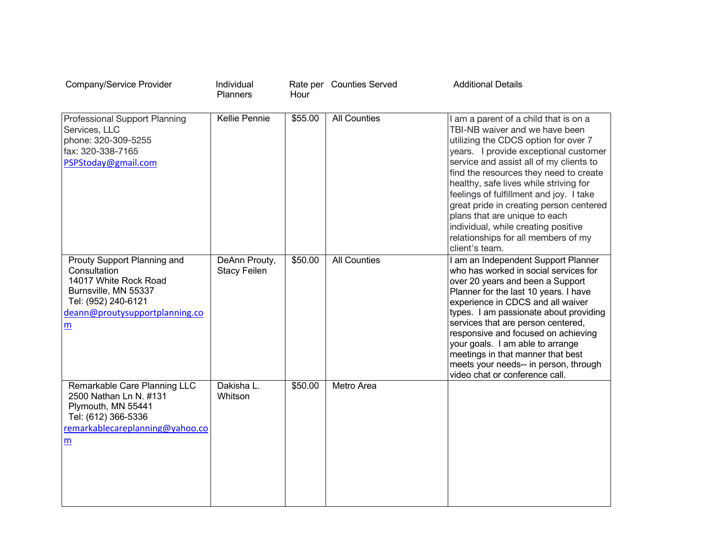| Company/Service Provider                                                                                                                                                 | Individual<br><b>Planners</b>        | Hour    | Rate per Counties Served | <b>Additional Details</b>                                                                                                                                                                                                                                                                                                                                                                                                                                                                                      |
|--------------------------------------------------------------------------------------------------------------------------------------------------------------------------|--------------------------------------|---------|--------------------------|----------------------------------------------------------------------------------------------------------------------------------------------------------------------------------------------------------------------------------------------------------------------------------------------------------------------------------------------------------------------------------------------------------------------------------------------------------------------------------------------------------------|
| Professional Support Planning<br>Services, LLC<br>phone: 320-309-5255<br>fax: 320-338-7165<br>PSPStoday@gmail.com                                                        | <b>Kellie Pennie</b>                 | \$55.00 | <b>All Counties</b>      | I am a parent of a child that is on a<br>TBI-NB waiver and we have been<br>utilizing the CDCS option for over 7<br>years. I provide exceptional customer<br>service and assist all of my clients to<br>find the resources they need to create<br>healthy, safe lives while striving for<br>feelings of fulfillment and joy. I take<br>great pride in creating person centered<br>plans that are unique to each<br>individual, while creating positive<br>relationships for all members of my<br>client's team. |
| Prouty Support Planning and<br>Consultation<br>14017 White Rock Road<br>Burnsville, MN 55337<br>Tel: (952) 240-6121<br>deann@proutysupportplanning.co<br>$\underline{m}$ | DeAnn Prouty,<br><b>Stacy Feilen</b> | \$50.00 | <b>All Counties</b>      | I am an Independent Support Planner<br>who has worked in social services for<br>over 20 years and been a Support<br>Planner for the last 10 years. I have<br>experience in CDCS and all waiver<br>types. I am passionate about providing<br>services that are person centered,<br>responsive and focused on achieving<br>your goals. I am able to arrange<br>meetings in that manner that best<br>meets your needs-- in person, through<br>video chat or conference call.                                      |
| Remarkable Care Planning LLC<br>2500 Nathan Ln N. #131<br>Plymouth, MN 55441<br>Tel: (612) 366-5336<br>remarkablecareplanning@yahoo.co<br>$\underline{m}$                | Dakisha L.<br>Whitson                | \$50.00 | Metro Area               |                                                                                                                                                                                                                                                                                                                                                                                                                                                                                                                |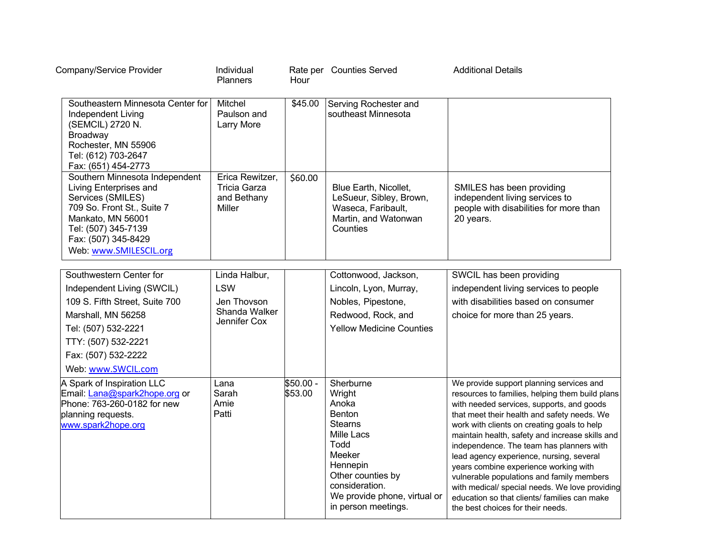| Company/Service Provider                                                                                                                                                                                 | Individual<br><b>Planners</b>                                   | Hour                  | Rate per Counties Served                                                                                                                                                                                  | <b>Additional Details</b>                                                                                                                                                                                                                                                                                                                                                                                                                                                                                                                                                                                      |
|----------------------------------------------------------------------------------------------------------------------------------------------------------------------------------------------------------|-----------------------------------------------------------------|-----------------------|-----------------------------------------------------------------------------------------------------------------------------------------------------------------------------------------------------------|----------------------------------------------------------------------------------------------------------------------------------------------------------------------------------------------------------------------------------------------------------------------------------------------------------------------------------------------------------------------------------------------------------------------------------------------------------------------------------------------------------------------------------------------------------------------------------------------------------------|
| Southeastern Minnesota Center for<br>Independent Living<br>(SEMCIL) 2720 N.<br>Broadway<br>Rochester, MN 55906<br>Tel: (612) 703-2647<br>Fax: (651) 454-2773                                             | Mitchel<br>Paulson and<br>Larry More                            | \$45.00               | Serving Rochester and<br>southeast Minnesota                                                                                                                                                              |                                                                                                                                                                                                                                                                                                                                                                                                                                                                                                                                                                                                                |
| Southern Minnesota Independent<br>Living Enterprises and<br>Services (SMILES)<br>709 So. Front St., Suite 7<br>Mankato, MN 56001<br>Tel: (507) 345-7139<br>Fax: (507) 345-8429<br>Web: www.SMILESCIL.org | Erica Rewitzer,<br><b>Tricia Garza</b><br>and Bethany<br>Miller | \$60.00               | Blue Earth, Nicollet,<br>LeSueur, Sibley, Brown,<br>Waseca, Faribault,<br>Martin, and Watonwan<br>Counties                                                                                                | SMILES has been providing<br>independent living services to<br>people with disabilities for more than<br>20 years.                                                                                                                                                                                                                                                                                                                                                                                                                                                                                             |
|                                                                                                                                                                                                          |                                                                 |                       |                                                                                                                                                                                                           |                                                                                                                                                                                                                                                                                                                                                                                                                                                                                                                                                                                                                |
| Southwestern Center for                                                                                                                                                                                  | Linda Halbur,                                                   |                       | Cottonwood, Jackson,                                                                                                                                                                                      | SWCIL has been providing                                                                                                                                                                                                                                                                                                                                                                                                                                                                                                                                                                                       |
| Independent Living (SWCIL)                                                                                                                                                                               | <b>LSW</b>                                                      |                       | Lincoln, Lyon, Murray,                                                                                                                                                                                    | independent living services to people                                                                                                                                                                                                                                                                                                                                                                                                                                                                                                                                                                          |
| 109 S. Fifth Street, Suite 700                                                                                                                                                                           | Jen Thovson<br>Shanda Walker                                    |                       | Nobles, Pipestone,                                                                                                                                                                                        | with disabilities based on consumer                                                                                                                                                                                                                                                                                                                                                                                                                                                                                                                                                                            |
| Marshall, MN 56258                                                                                                                                                                                       | Jennifer Cox                                                    |                       | Redwood, Rock, and                                                                                                                                                                                        | choice for more than 25 years.                                                                                                                                                                                                                                                                                                                                                                                                                                                                                                                                                                                 |
| Tel: (507) 532-2221                                                                                                                                                                                      |                                                                 |                       | <b>Yellow Medicine Counties</b>                                                                                                                                                                           |                                                                                                                                                                                                                                                                                                                                                                                                                                                                                                                                                                                                                |
| TTY: (507) 532-2221                                                                                                                                                                                      |                                                                 |                       |                                                                                                                                                                                                           |                                                                                                                                                                                                                                                                                                                                                                                                                                                                                                                                                                                                                |
| Fax: (507) 532-2222                                                                                                                                                                                      |                                                                 |                       |                                                                                                                                                                                                           |                                                                                                                                                                                                                                                                                                                                                                                                                                                                                                                                                                                                                |
| Web: www.SWCIL.com                                                                                                                                                                                       |                                                                 |                       |                                                                                                                                                                                                           |                                                                                                                                                                                                                                                                                                                                                                                                                                                                                                                                                                                                                |
| A Spark of Inspiration LLC<br>Email: Lana@spark2hope.org or<br>Phone: 763-260-0182 for new<br>planning requests.<br>www.spark2hope.org                                                                   | Lana<br>Sarah<br>Amie<br>Patti                                  | $$50.00 -$<br>\$53.00 | Sherburne<br>Wright<br>Anoka<br><b>Benton</b><br><b>Stearns</b><br>Mille Lacs<br>Todd<br>Meeker<br>Hennepin<br>Other counties by<br>consideration.<br>We provide phone, virtual or<br>in person meetings. | We provide support planning services and<br>resources to families, helping them build plans<br>with needed services, supports, and goods<br>that meet their health and safety needs. We<br>work with clients on creating goals to help<br>maintain health, safety and increase skills and<br>independence. The team has planners with<br>lead agency experience, nursing, several<br>years combine experience working with<br>vulnerable populations and family members<br>with medical/ special needs. We love providing<br>education so that clients/ families can make<br>the best choices for their needs. |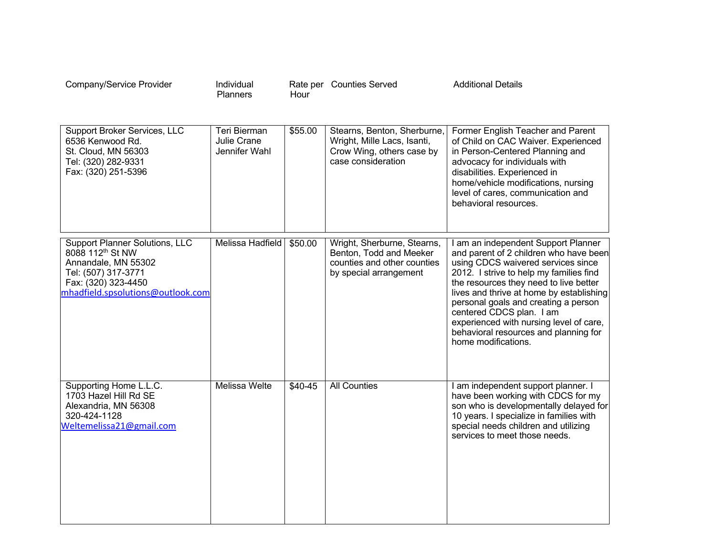| Company/Service Provider                                                                                                                                                        | Individual<br>Planners                       | Hour    | Rate per Counties Served                                                                                        | <b>Additional Details</b>                                                                                                                                                                                                                                                                                                                                                                                                           |
|---------------------------------------------------------------------------------------------------------------------------------------------------------------------------------|----------------------------------------------|---------|-----------------------------------------------------------------------------------------------------------------|-------------------------------------------------------------------------------------------------------------------------------------------------------------------------------------------------------------------------------------------------------------------------------------------------------------------------------------------------------------------------------------------------------------------------------------|
| Support Broker Services, LLC<br>6536 Kenwood Rd.<br>St. Cloud, MN 56303<br>Tel: (320) 282-9331<br>Fax: (320) 251-5396                                                           | Teri Bierman<br>Julie Crane<br>Jennifer Wahl | \$55.00 | Stearns, Benton, Sherburne,<br>Wright, Mille Lacs, Isanti,<br>Crow Wing, others case by<br>case consideration   | Former English Teacher and Parent<br>of Child on CAC Waiver. Experienced<br>in Person-Centered Planning and<br>advocacy for individuals with<br>disabilities. Experienced in<br>home/vehicle modifications, nursing<br>level of cares, communication and<br>behavioral resources.                                                                                                                                                   |
| <b>Support Planner Solutions, LLC</b><br>8088 112 <sup>th</sup> St NW<br>Annandale, MN 55302<br>Tel: (507) 317-3771<br>Fax: (320) 323-4450<br>mhadfield.spsolutions@outlook.com | Melissa Hadfield                             | \$50.00 | Wright, Sherburne, Stearns,<br>Benton, Todd and Meeker<br>counties and other counties<br>by special arrangement | I am an independent Support Planner<br>and parent of 2 children who have been<br>using CDCS waivered services since<br>2012. I strive to help my families find<br>the resources they need to live better<br>lives and thrive at home by establishing<br>personal goals and creating a person<br>centered CDCS plan. I am<br>experienced with nursing level of care,<br>behavioral resources and planning for<br>home modifications. |
| Supporting Home L.L.C.<br>1703 Hazel Hill Rd SE<br>Alexandria, MN 56308<br>320-424-1128<br>Weltemelissa21@gmail.com                                                             | <b>Melissa Welte</b>                         | \$40-45 | <b>All Counties</b>                                                                                             | I am independent support planner. I<br>have been working with CDCS for my<br>son who is developmentally delayed for<br>10 years. I specialize in families with<br>special needs children and utilizing<br>services to meet those needs.                                                                                                                                                                                             |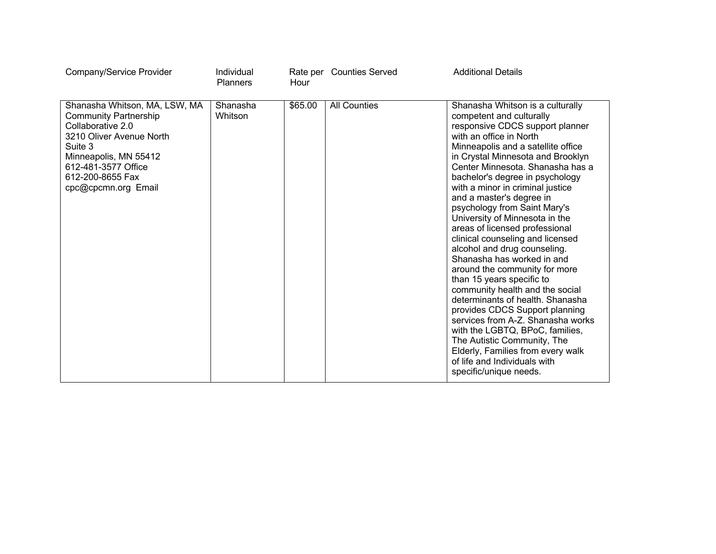| Company/Service Provider                                                                                                                                                                                             | Individual<br><b>Planners</b> | Hour    | Rate per Counties Served | <b>Additional Details</b>                                                                                                                                                                                                                                                                                                                                                                                                                                                                                                                                                                                                                                                                                                                                                                                                                                                                                                       |
|----------------------------------------------------------------------------------------------------------------------------------------------------------------------------------------------------------------------|-------------------------------|---------|--------------------------|---------------------------------------------------------------------------------------------------------------------------------------------------------------------------------------------------------------------------------------------------------------------------------------------------------------------------------------------------------------------------------------------------------------------------------------------------------------------------------------------------------------------------------------------------------------------------------------------------------------------------------------------------------------------------------------------------------------------------------------------------------------------------------------------------------------------------------------------------------------------------------------------------------------------------------|
| Shanasha Whitson, MA, LSW, MA<br><b>Community Partnership</b><br>Collaborative 2.0<br>3210 Oliver Avenue North<br>Suite 3<br>Minneapolis, MN 55412<br>612-481-3577 Office<br>612-200-8655 Fax<br>cpc@cpcmn.org Email | Shanasha<br>Whitson           | \$65.00 | <b>All Counties</b>      | Shanasha Whitson is a culturally<br>competent and culturally<br>responsive CDCS support planner<br>with an office in North<br>Minneapolis and a satellite office<br>in Crystal Minnesota and Brooklyn<br>Center Minnesota, Shanasha has a<br>bachelor's degree in psychology<br>with a minor in criminal justice<br>and a master's degree in<br>psychology from Saint Mary's<br>University of Minnesota in the<br>areas of licensed professional<br>clinical counseling and licensed<br>alcohol and drug counseling.<br>Shanasha has worked in and<br>around the community for more<br>than 15 years specific to<br>community health and the social<br>determinants of health. Shanasha<br>provides CDCS Support planning<br>services from A-Z. Shanasha works<br>with the LGBTQ, BPoC, families,<br>The Autistic Community, The<br>Elderly, Families from every walk<br>of life and Individuals with<br>specific/unique needs. |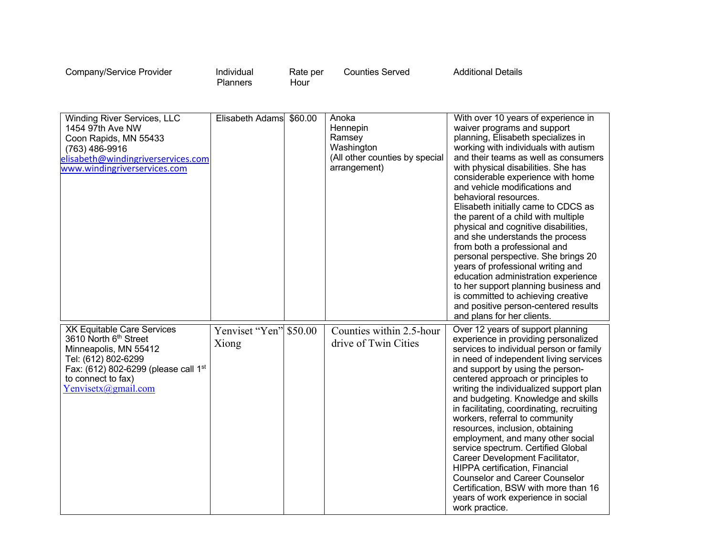| Company/Service Provider | Individual<br>Planners | Rate per<br>Hour | <b>Counties Served</b> | <b>Additional Details</b> |
|--------------------------|------------------------|------------------|------------------------|---------------------------|
|--------------------------|------------------------|------------------|------------------------|---------------------------|

| Winding River Services, LLC<br>1454 97th Ave NW<br>Coon Rapids, MN 55433<br>(763) 486-9916<br>elisabeth@windingriverservices.com<br>www.windingriverservices.com                                               | Elisabeth Adams \$60.00         | Anoka<br>Hennepin<br>Ramsey<br>Washington<br>(All other counties by special<br>arrangement) | With over 10 years of experience in<br>waiver programs and support<br>planning, Elisabeth specializes in<br>working with individuals with autism<br>and their teams as well as consumers<br>with physical disabilities. She has<br>considerable experience with home<br>and vehicle modifications and<br>behavioral resources.<br>Elisabeth initially came to CDCS as<br>the parent of a child with multiple<br>physical and cognitive disabilities,<br>and she understands the process<br>from both a professional and<br>personal perspective. She brings 20<br>years of professional writing and<br>education administration experience<br>to her support planning business and<br>is committed to achieving creative<br>and positive person-centered results<br>and plans for her clients. |
|----------------------------------------------------------------------------------------------------------------------------------------------------------------------------------------------------------------|---------------------------------|---------------------------------------------------------------------------------------------|------------------------------------------------------------------------------------------------------------------------------------------------------------------------------------------------------------------------------------------------------------------------------------------------------------------------------------------------------------------------------------------------------------------------------------------------------------------------------------------------------------------------------------------------------------------------------------------------------------------------------------------------------------------------------------------------------------------------------------------------------------------------------------------------|
| <b>XK Equitable Care Services</b><br>3610 North 6th Street<br>Minneapolis, MN 55412<br>Tel: (612) 802-6299<br>Fax: (612) 802-6299 (please call 1 <sup>st</sup><br>to connect to fax)<br>$Y$ envisetx@gmail.com | Yenviset "Yen" \$50.00<br>Xiong | Counties within 2.5-hour<br>drive of Twin Cities                                            | Over 12 years of support planning<br>experience in providing personalized<br>services to individual person or family<br>in need of independent living services<br>and support by using the person-<br>centered approach or principles to<br>writing the individualized support plan<br>and budgeting. Knowledge and skills<br>in facilitating, coordinating, recruiting<br>workers, referral to community<br>resources, inclusion, obtaining<br>employment, and many other social<br>service spectrum. Certified Global<br>Career Development Facilitator,<br>HIPPA certification, Financial<br><b>Counselor and Career Counselor</b><br>Certification, BSW with more than 16<br>years of work experience in social<br>work practice.                                                          |